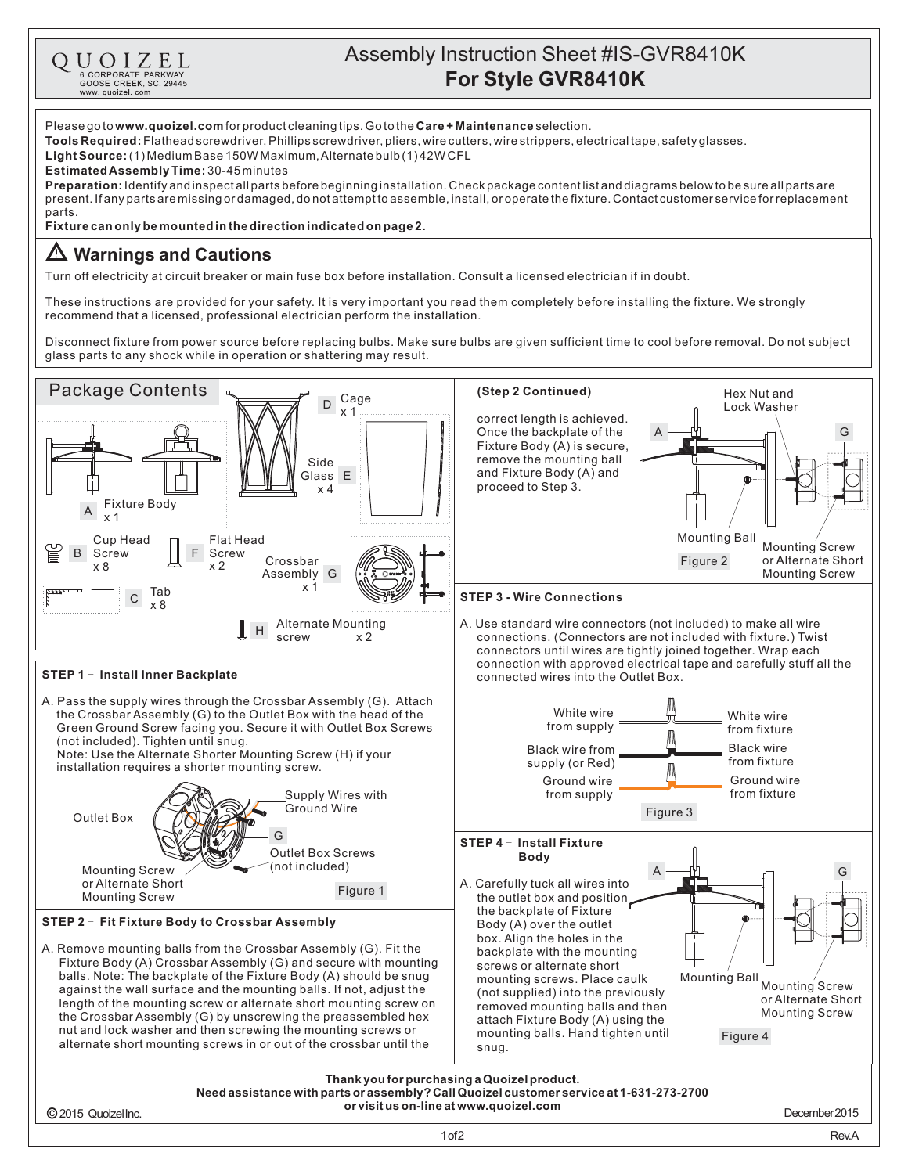

## Assembly Instruction Sheet #IS-GVR8410K **For Style GVR8410K**